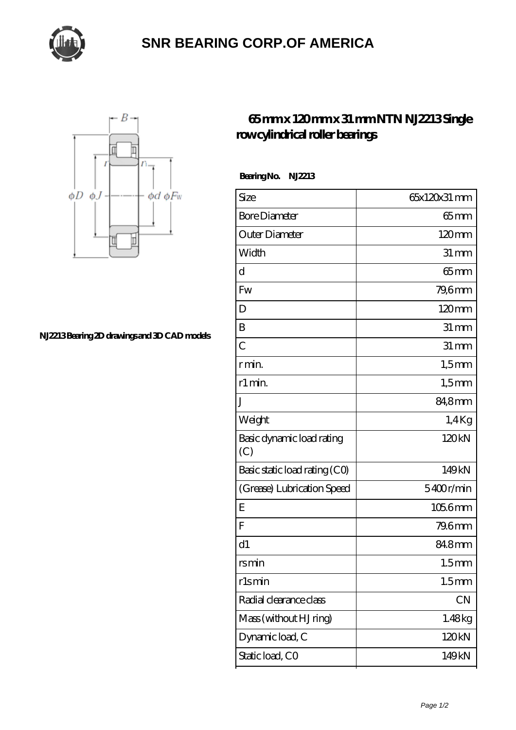

## **[SNR BEARING CORP.OF AMERICA](https://m.thebestofquebec.com)**



**[NJ2213 Bearing 2D drawings and 3D CAD models](https://m.thebestofquebec.com/pic-64978951.html)**

## **[65 mm x 120 mm x 31 mm NTN NJ2213 Single](https://m.thebestofquebec.com/az-64978951-ntn-nj2213-single-row-cylindrical-roller-bearings.html) [row cylindrical roller bearings](https://m.thebestofquebec.com/az-64978951-ntn-nj2213-single-row-cylindrical-roller-bearings.html)**

 **Bearing No. NJ2213**

| Size                             | 65x120x31 mm       |
|----------------------------------|--------------------|
| <b>Bore Diameter</b>             | $65 \text{mm}$     |
| Outer Diameter                   | 120mm              |
| Width                            | $31 \, \text{mm}$  |
| d                                | $65$ mm            |
| Fw                               | 79,6mm             |
| D                                | 120mm              |
| B                                | $31 \, \text{mm}$  |
| $\overline{C}$                   | $31 \,\mathrm{mm}$ |
| r min.                           | $1,5$ mm           |
| r1 min.                          | $1,5$ mm           |
| J                                | 84,8mm             |
| Weight                           | $1.4$ Kg           |
| Basic dynamic load rating<br>(C) | 120kN              |
| Basic static load rating (CO)    | 149kN              |
| (Grease) Lubrication Speed       | 5400r/min          |
| Ε                                | $1056$ mm          |
| F                                | 79.6mm             |
| d1                               | 84.8mm             |
| rsmin                            | 1.5 <sub>mm</sub>  |
| rlsmin                           | 1.5 <sub>mm</sub>  |
| Radial clearance class           | CN                 |
| Mass (without HJ ring)           | 1.48kg             |
| Dynamic load, C                  | 120kN              |
| Static load, CO                  | 149kN              |
|                                  |                    |